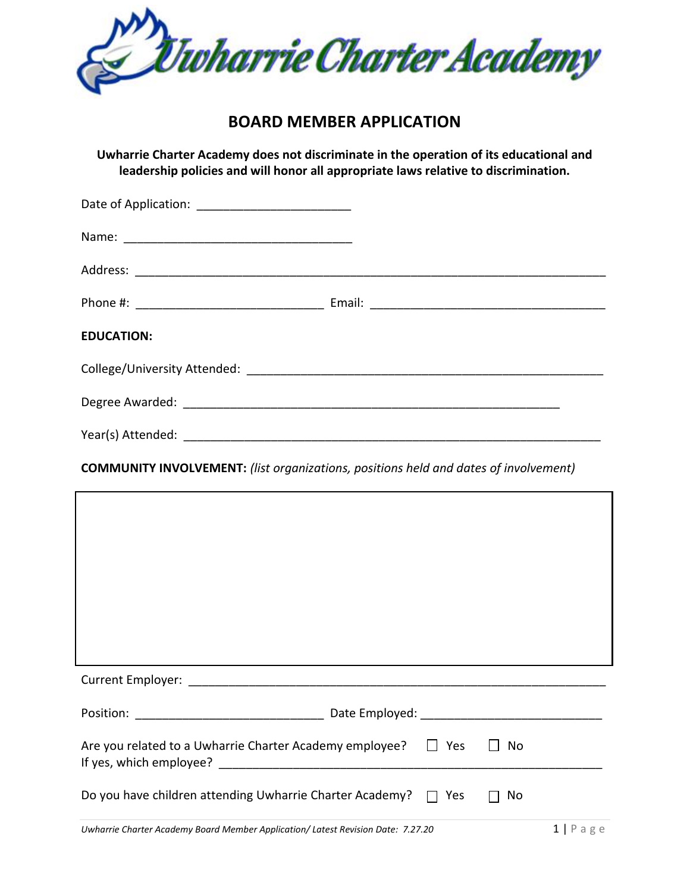

# **BOARD MEMBER APPLICATION**

**Uwharrie Charter Academy does not discriminate in the operation of its educational and leadership policies and will honor all appropriate laws relative to discrimination.**

| Date of Application: ___________________________ |  |
|--------------------------------------------------|--|
|                                                  |  |
|                                                  |  |
|                                                  |  |
| <b>EDUCATION:</b>                                |  |
|                                                  |  |
|                                                  |  |
|                                                  |  |

## **COMMUNITY INVOLVEMENT:** *(list organizations, positions held and dates of involvement)*

| ,我们也不会有什么。""我们的人,我们也不会有什么?""我们的人,我们也不会有什么?""我们的人,我们也不会有什么?""我们的人,我们也不会有什么?""我们的人 |
|----------------------------------------------------------------------------------|
|                                                                                  |
| Are you related to a Uwharrie Charter Academy employee? $\Box$ Yes $\Box$<br>No  |
| Do you have children attending Uwharrie Charter Academy? $\Box$ Yes<br>No        |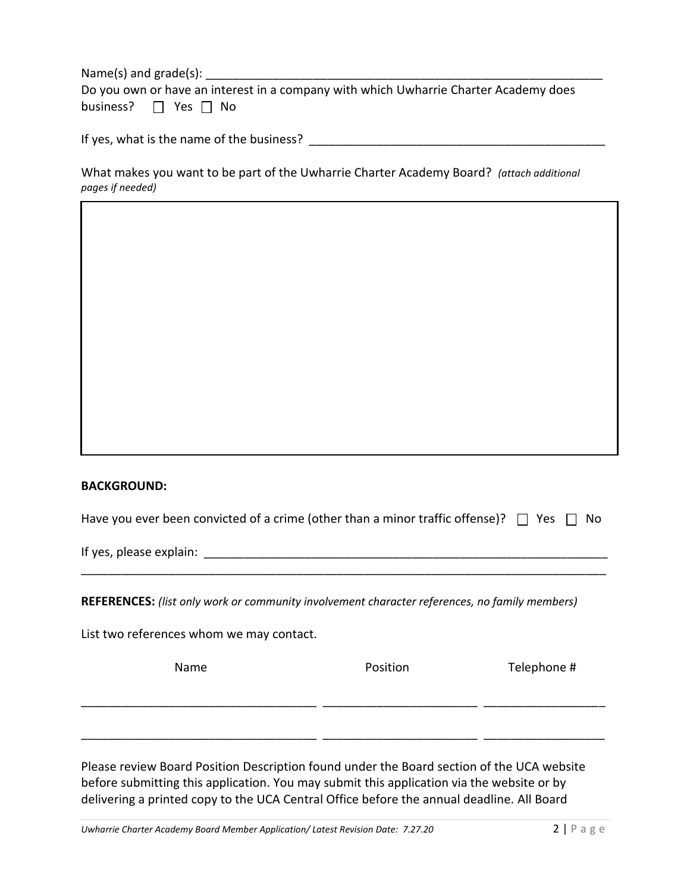Name(s) and grade(s): \_\_\_\_\_\_\_\_\_\_\_\_\_\_\_\_\_\_\_\_\_\_\_\_\_\_\_\_\_\_\_\_\_\_\_\_\_\_\_\_\_\_\_\_\_\_\_\_\_\_\_\_\_\_\_\_\_\_\_

| Do you own or have an interest in a company with which Uwharrie Charter Academy does |  |  |  |  |  |
|--------------------------------------------------------------------------------------|--|--|--|--|--|
| business? $\Box$ Yes $\Box$ No                                                       |  |  |  |  |  |

If yes, what is the name of the business? \_\_\_\_\_\_\_\_\_\_\_\_\_\_\_\_\_\_\_\_\_\_\_\_\_\_\_\_\_\_\_\_\_\_\_\_\_\_\_\_\_\_\_\_

### What makes you want to be part of the Uwharrie Charter Academy Board? *(attach additional pages if needed)*

#### **BACKGROUND:**

| Have you ever been convicted of a crime (other than a minor traffic offense)? $\Box$ Yes $\Box$ No |  |
|----------------------------------------------------------------------------------------------------|--|
|----------------------------------------------------------------------------------------------------|--|

\_\_\_\_\_\_\_\_\_\_\_\_\_\_\_\_\_\_\_\_\_\_\_\_\_\_\_\_\_\_\_\_\_\_\_\_\_\_\_\_\_\_\_\_\_\_\_\_\_\_\_\_\_\_\_\_\_\_\_\_\_\_\_\_\_\_\_\_\_\_\_\_\_\_\_\_\_\_

If yes, please explain:  $\blacksquare$ 

**REFERENCES:** *(list only work or community involvement character references, no family members)*

List two references whom we may contact.

| Name | Position | Telephone # |
|------|----------|-------------|
|      |          |             |
|      |          |             |

Please review Board Position Description found under the Board section of the UCA website before submitting this application. You may submit this application via the website or by delivering a printed copy to the UCA Central Office before the annual deadline. All Board